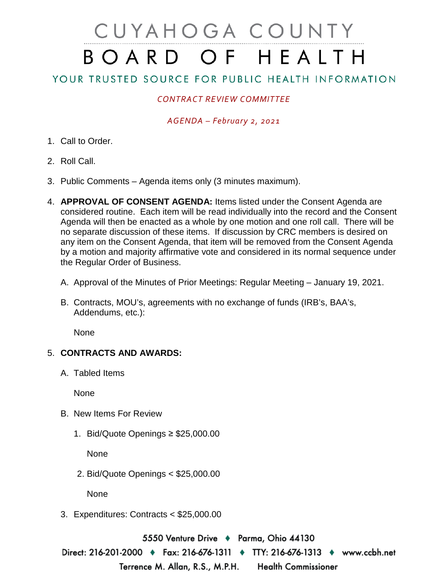# CUYAHOGA COUNTY BOARD OF HEALTH

# YOUR TRUSTED SOURCE FOR PUBLIC HEALTH INFORMATION

## *CONTRACT REVIEW COMMITTEE*

#### *AGENDA – February 2, 2021*

- 1. Call to Order.
- 2. Roll Call.
- 3. Public Comments Agenda items only (3 minutes maximum).
- 4. **APPROVAL OF CONSENT AGENDA:** Items listed under the Consent Agenda are considered routine. Each item will be read individually into the record and the Consent Agenda will then be enacted as a whole by one motion and one roll call. There will be no separate discussion of these items. If discussion by CRC members is desired on any item on the Consent Agenda, that item will be removed from the Consent Agenda by a motion and majority affirmative vote and considered in its normal sequence under the Regular Order of Business.
	- A. Approval of the Minutes of Prior Meetings: Regular Meeting January 19, 2021.
	- B. Contracts, MOU's, agreements with no exchange of funds (IRB's, BAA's, Addendums, etc.):

**None** 

### 5. **CONTRACTS AND AWARDS:**

A. Tabled Items

None

- B. New Items For Review
	- 1. Bid/Quote Openings ≥ \$25,000.00

None

2. Bid/Quote Openings < \$25,000.00

None

3. Expenditures: Contracts < \$25,000.00

5550 Venture Drive ♦ Parma, Ohio 44130

Direct: 216-201-2000 ♦ Fax: 216-676-1311 ♦ TTY: 216-676-1313 ♦ www.ccbh.net Terrence M. Allan, R.S., M.P.H. **Health Commissioner**